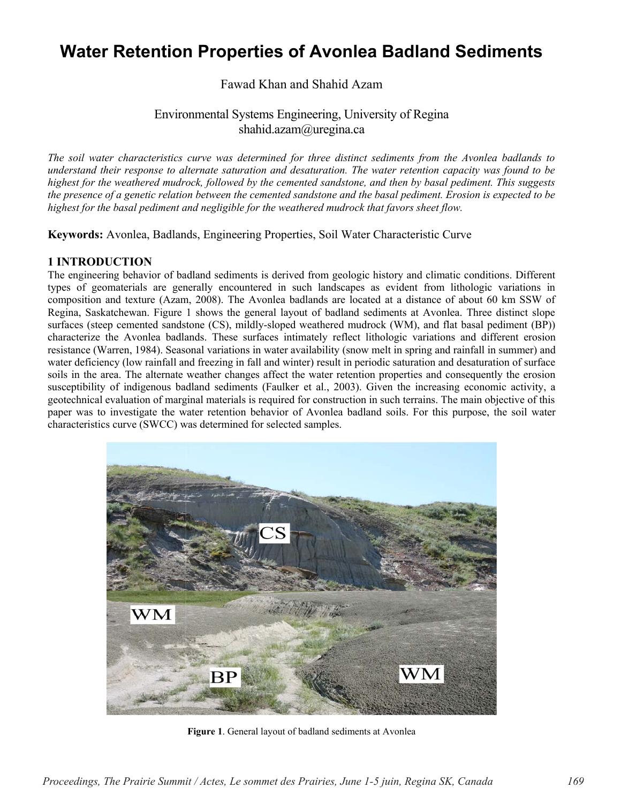# **Water Retention Properties of Avonlea Badland Sediments**

Fawad Khan and Shahid Azam

## Environmental Systems Engineering, University of Regina shahid.azam@uregina.ca

*The soil water characteristics curve was determined for three distinct sediments from the Avonlea badlands to understand their response to alternate saturation and desaturation. The water retention capacity was found to be highest for the weathered mudrock, followed by the cemented sandstone, and then by basal pediment. This suggests the presence of a genetic relation between the cemented sandstone and the basal pediment. Erosion is expected to be highest for the basal pediment and negligible for the weathered mudrock that favors sheet flow.* 

**Keywords:** Avonlea, Badlands, Engineering Properties, Soil Water Characteristic Curve

## **1 INTRODUCTION**

The engineering behavior of badland sediments is derived from geologic history and climatic conditions. Different types of geomaterials are generally encountered in such landscapes as evident from lithologic variations in composition and texture (Azam, 2008). The Avonlea badlands are located at a distance of about 60 km SSW of Regina, Saskatchewan. Figure 1 shows the general layout of badland sediments at Avonlea. Three distinct slope surfaces (steep cemented sandstone (CS), mildly-sloped weathered mudrock (WM), and flat basal pediment (BP)) characterize the Avonlea badlands. These surfaces intimately reflect lithologic variations and different erosion resistance (Warren, 1984). Seasonal variations in water availability (snow melt in spring and rainfall in summer) and water deficiency (low rainfall and freezing in fall and winter) result in periodic saturation and desaturation of surface soils in the area. The alternate weather changes affect the water retention properties and consequently the erosion susceptibility of indigenous badland sediments (Faulker et al., 2003). Given the increasing economic activity, a geotechnical evaluation of marginal materials is required for construction in such terrains. The main objective of this paper was to investigate the water retention behavior of Avonlea badland soils. For this purpose, the soil water characteristics curve (SWCC) was determined for selected samples.



**Figure 1**. General layout of badland sediments at Avonlea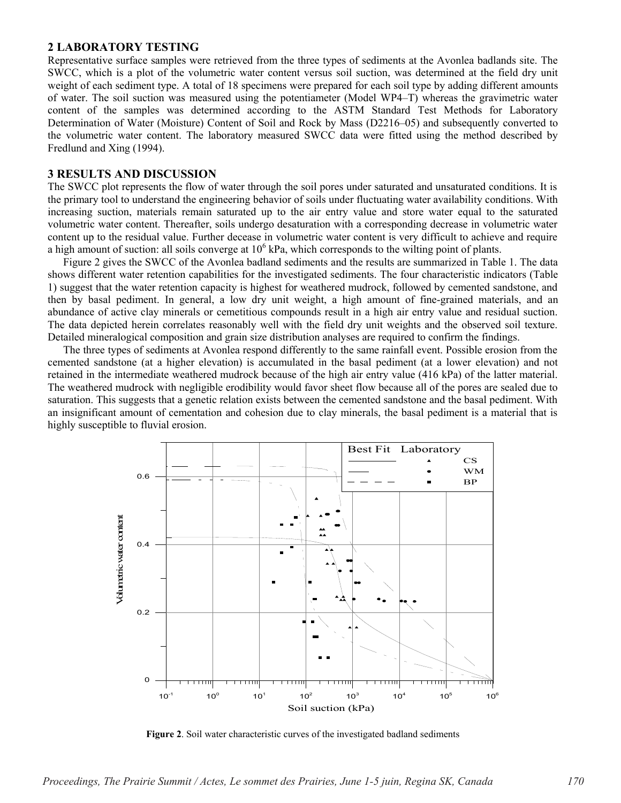#### **2 LABORATORY TESTING**

Representative surface samples were retrieved from the three types of sediments at the Avonlea badlands site. The SWCC, which is a plot of the volumetric water content versus soil suction, was determined at the field dry unit weight of each sediment type. A total of 18 specimens were prepared for each soil type by adding different amounts of water. The soil suction was measured using the potentiameter (Model WP4–T) whereas the gravimetric water content of the samples was determined according to the ASTM Standard Test Methods for Laboratory Determination of Water (Moisture) Content of Soil and Rock by Mass (D2216–05) and subsequently converted to the volumetric water content. The laboratory measured SWCC data were fitted using the method described by Fredlund and Xing (1994).

### **3 RESULTS AND DISCUSSION**

The SWCC plot represents the flow of water through the soil pores under saturated and unsaturated conditions. It is the primary tool to understand the engineering behavior of soils under fluctuating water availability conditions. With increasing suction, materials remain saturated up to the air entry value and store water equal to the saturated volumetric water content. Thereafter, soils undergo desaturation with a corresponding decrease in volumetric water content up to the residual value. Further decease in volumetric water content is very difficult to achieve and require a high amount of suction: all soils converge at  $10<sup>6</sup>$  kPa, which corresponds to the wilting point of plants.

Figure 2 gives the SWCC of the Avonlea badland sediments and the results are summarized in Table 1. The data shows different water retention capabilities for the investigated sediments. The four characteristic indicators (Table 1) suggest that the water retention capacity is highest for weathered mudrock, followed by cemented sandstone, and then by basal pediment. In general, a low dry unit weight, a high amount of fine-grained materials, and an abundance of active clay minerals or cemetitious compounds result in a high air entry value and residual suction. The data depicted herein correlates reasonably well with the field dry unit weights and the observed soil texture. Detailed mineralogical composition and grain size distribution analyses are required to confirm the findings.

The three types of sediments at Avonlea respond differently to the same rainfall event. Possible erosion from the cemented sandstone (at a higher elevation) is accumulated in the basal pediment (at a lower elevation) and not retained in the intermediate weathered mudrock because of the high air entry value (416 kPa) of the latter material. The weathered mudrock with negligible erodibility would favor sheet flow because all of the pores are sealed due to saturation. This suggests that a genetic relation exists between the cemented sandstone and the basal pediment. With an insignificant amount of cementation and cohesion due to clay minerals, the basal pediment is a material that is highly susceptible to fluvial erosion.



**Figure 2**. Soil water characteristic curves of the investigated badland sediments